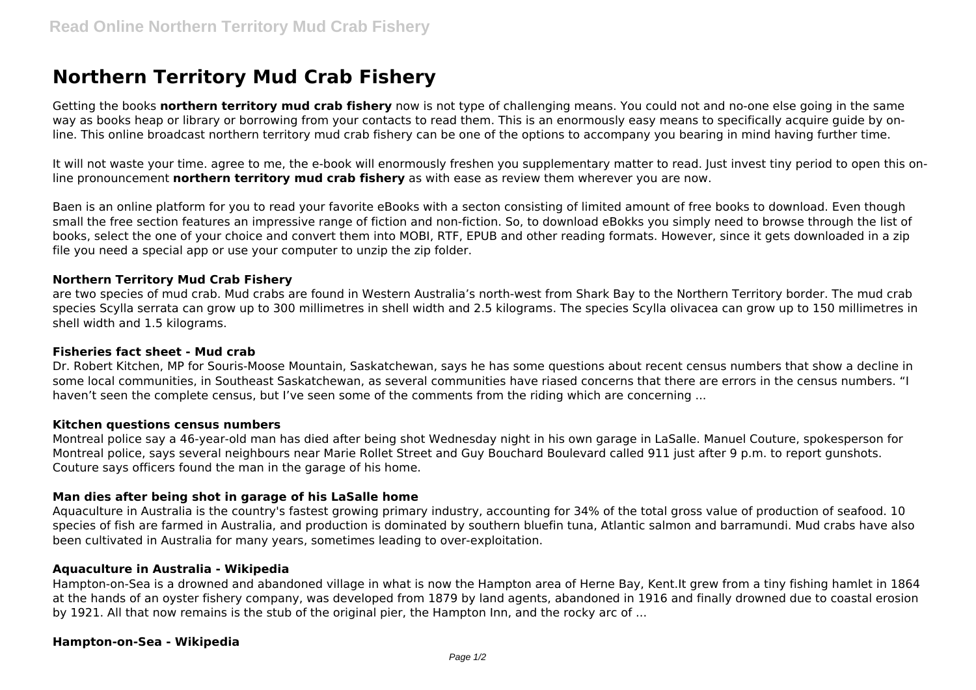# **Northern Territory Mud Crab Fishery**

Getting the books **northern territory mud crab fishery** now is not type of challenging means. You could not and no-one else going in the same way as books heap or library or borrowing from your contacts to read them. This is an enormously easy means to specifically acquire guide by online. This online broadcast northern territory mud crab fishery can be one of the options to accompany you bearing in mind having further time.

It will not waste your time. agree to me, the e-book will enormously freshen you supplementary matter to read. Just invest tiny period to open this online pronouncement **northern territory mud crab fishery** as with ease as review them wherever you are now.

Baen is an online platform for you to read your favorite eBooks with a secton consisting of limited amount of free books to download. Even though small the free section features an impressive range of fiction and non-fiction. So, to download eBokks you simply need to browse through the list of books, select the one of your choice and convert them into MOBI, RTF, EPUB and other reading formats. However, since it gets downloaded in a zip file you need a special app or use your computer to unzip the zip folder.

# **Northern Territory Mud Crab Fishery**

are two species of mud crab. Mud crabs are found in Western Australia's north-west from Shark Bay to the Northern Territory border. The mud crab species Scylla serrata can grow up to 300 millimetres in shell width and 2.5 kilograms. The species Scylla olivacea can grow up to 150 millimetres in shell width and 1.5 kilograms.

### **Fisheries fact sheet - Mud crab**

Dr. Robert Kitchen, MP for Souris-Moose Mountain, Saskatchewan, says he has some questions about recent census numbers that show a decline in some local communities, in Southeast Saskatchewan, as several communities have riased concerns that there are errors in the census numbers. "I haven't seen the complete census, but I've seen some of the comments from the riding which are concerning ...

### **Kitchen questions census numbers**

Montreal police say a 46-year-old man has died after being shot Wednesday night in his own garage in LaSalle. Manuel Couture, spokesperson for Montreal police, says several neighbours near Marie Rollet Street and Guy Bouchard Boulevard called 911 just after 9 p.m. to report gunshots. Couture says officers found the man in the garage of his home.

# **Man dies after being shot in garage of his LaSalle home**

Aquaculture in Australia is the country's fastest growing primary industry, accounting for 34% of the total gross value of production of seafood. 10 species of fish are farmed in Australia, and production is dominated by southern bluefin tuna, Atlantic salmon and barramundi. Mud crabs have also been cultivated in Australia for many years, sometimes leading to over-exploitation.

### **Aquaculture in Australia - Wikipedia**

Hampton-on-Sea is a drowned and abandoned village in what is now the Hampton area of Herne Bay, Kent.It grew from a tiny fishing hamlet in 1864 at the hands of an oyster fishery company, was developed from 1879 by land agents, abandoned in 1916 and finally drowned due to coastal erosion by 1921. All that now remains is the stub of the original pier, the Hampton Inn, and the rocky arc of ...

# **Hampton-on-Sea - Wikipedia**